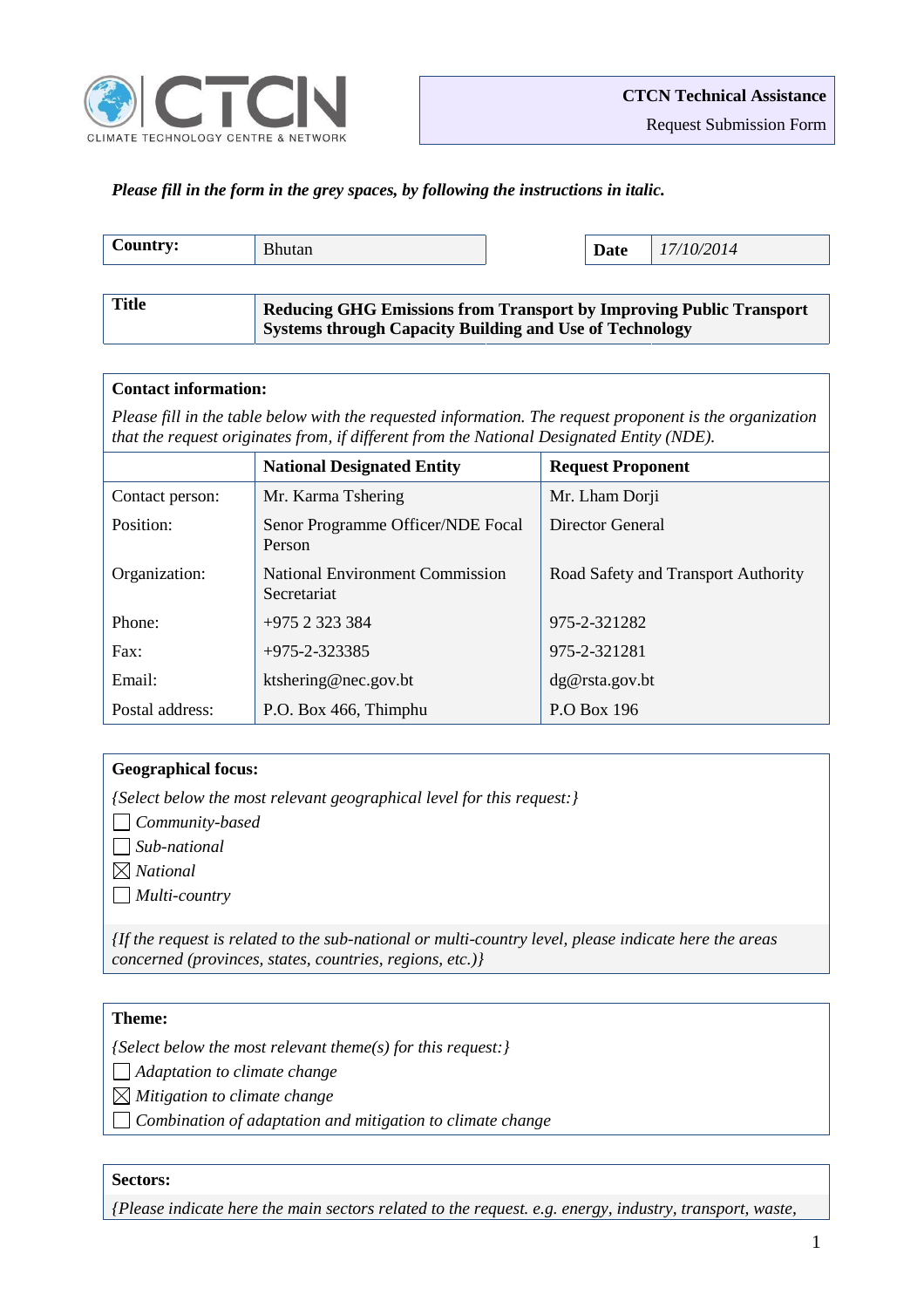

*Please fill in the form in the grey spaces, by following the instructions in italic.*

| Country:     | <b>Bhutan</b>                                                                                                                                |  | Date | 17/10/2014 |
|--------------|----------------------------------------------------------------------------------------------------------------------------------------------|--|------|------------|
|              |                                                                                                                                              |  |      |            |
| <b>Title</b> | <b>Reducing GHG Emissions from Transport by Improving Public Transport</b><br><b>Systems through Capacity Building and Use of Technology</b> |  |      |            |

#### **Contact information:**

*Please fill in the table below with the requested information. The request proponent is the organization that the request originates from, if different from the National Designated Entity (NDE).*

|                 | <b>National Designated Entity</b>                     | <b>Request Proponent</b>            |
|-----------------|-------------------------------------------------------|-------------------------------------|
| Contact person: | Mr. Karma Tshering                                    | Mr. Lham Dorji                      |
| Position:       | Senor Programme Officer/NDE Focal<br>Person           | Director General                    |
| Organization:   | <b>National Environment Commission</b><br>Secretariat | Road Safety and Transport Authority |
| Phone:          | $+975$ 2 323 384                                      | 975-2-321282                        |
| Fax:            | $+975 - 2 - 323385$                                   | 975-2-321281                        |
| Email:          | ktshering@nec.gov.bt                                  | dg@rsta.gov.bt                      |
| Postal address: | P.O. Box 466, Thimphu                                 | P.O Box 196                         |

### **Geographical focus:**

*{Select below the most relevant geographical level for this request:}*

*Community-based* 

*Sub-national* 

*National* 

*Multi-country*

*{If the request is related to the sub-national or multi-country level, please indicate here the areas concerned (provinces, states, countries, regions, etc.)}*

### **Theme:**

*{Select below the most relevant theme(s) for this request:}*

*Adaptation to climate change* 

*Mitigation to climate change* 

*Combination of adaptation and mitigation to climate change* 

## **Sectors:**

*{Please indicate here the main sectors related to the request. e.g. energy, industry, transport, waste,*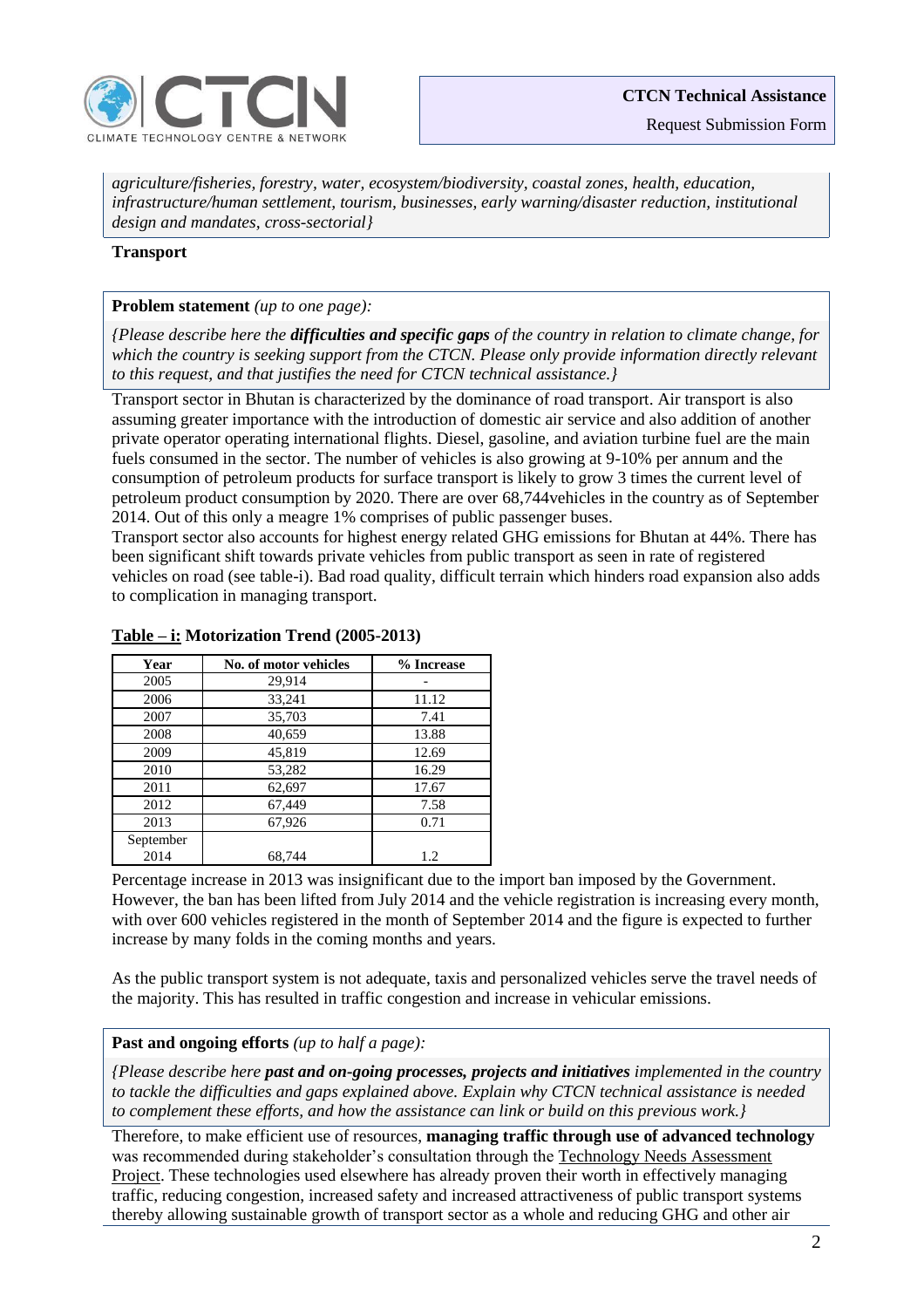

Request Submission Form

*agriculture/fisheries, forestry, water, ecosystem/biodiversity, coastal zones, health, education, infrastructure/human settlement, tourism, businesses, early warning/disaster reduction, institutional design and mandates, cross-sectorial}*

### **Transport**

### **Problem statement** *(up to one page):*

*{Please describe here the difficulties and specific gaps of the country in relation to climate change, for which the country is seeking support from the CTCN. Please only provide information directly relevant to this request, and that justifies the need for CTCN technical assistance.}*

Transport sector in Bhutan is characterized by the dominance of road transport. Air transport is also assuming greater importance with the introduction of domestic air service and also addition of another private operator operating international flights. Diesel, gasoline, and aviation turbine fuel are the main fuels consumed in the sector. The number of vehicles is also growing at 9-10% per annum and the consumption of petroleum products for surface transport is likely to grow 3 times the current level of petroleum product consumption by 2020. There are over 68,744vehicles in the country as of September 2014. Out of this only a meagre 1% comprises of public passenger buses.

Transport sector also accounts for highest energy related GHG emissions for Bhutan at 44%. There has been significant shift towards private vehicles from public transport as seen in rate of registered vehicles on road (see table-i). Bad road quality, difficult terrain which hinders road expansion also adds to complication in managing transport.

| Year      | No. of motor vehicles | % Increase |
|-----------|-----------------------|------------|
| 2005      | 29,914                |            |
| 2006      | 33,241                | 11.12      |
| 2007      | 35,703                | 7.41       |
| 2008      | 40,659                | 13.88      |
| 2009      | 45,819                | 12.69      |
| 2010      | 53,282                | 16.29      |
| 2011      | 62,697                | 17.67      |
| 2012      | 67,449                | 7.58       |
| 2013      | 67,926                | 0.71       |
| September |                       |            |
| 2014      | 68,744                | 1.2        |

## **Table – i: Motorization Trend (2005-2013)**

Percentage increase in 2013 was insignificant due to the import ban imposed by the Government. However, the ban has been lifted from July 2014 and the vehicle registration is increasing every month, with over 600 vehicles registered in the month of September 2014 and the figure is expected to further increase by many folds in the coming months and years.

As the public transport system is not adequate, taxis and personalized vehicles serve the travel needs of the majority. This has resulted in traffic congestion and increase in vehicular emissions.

# **Past and ongoing efforts** *(up to half a page):*

*{Please describe here past and on-going processes, projects and initiatives implemented in the country to tackle the difficulties and gaps explained above. Explain why CTCN technical assistance is needed to complement these efforts, and how the assistance can link or build on this previous work.}*

Therefore, to make efficient use of resources, **managing traffic through use of advanced technology** was recommended during stakeholder's consultation through the Technology Needs Assessment Project. These technologies used elsewhere has already proven their worth in effectively managing traffic, reducing congestion, increased safety and increased attractiveness of public transport systems thereby allowing sustainable growth of transport sector as a whole and reducing GHG and other air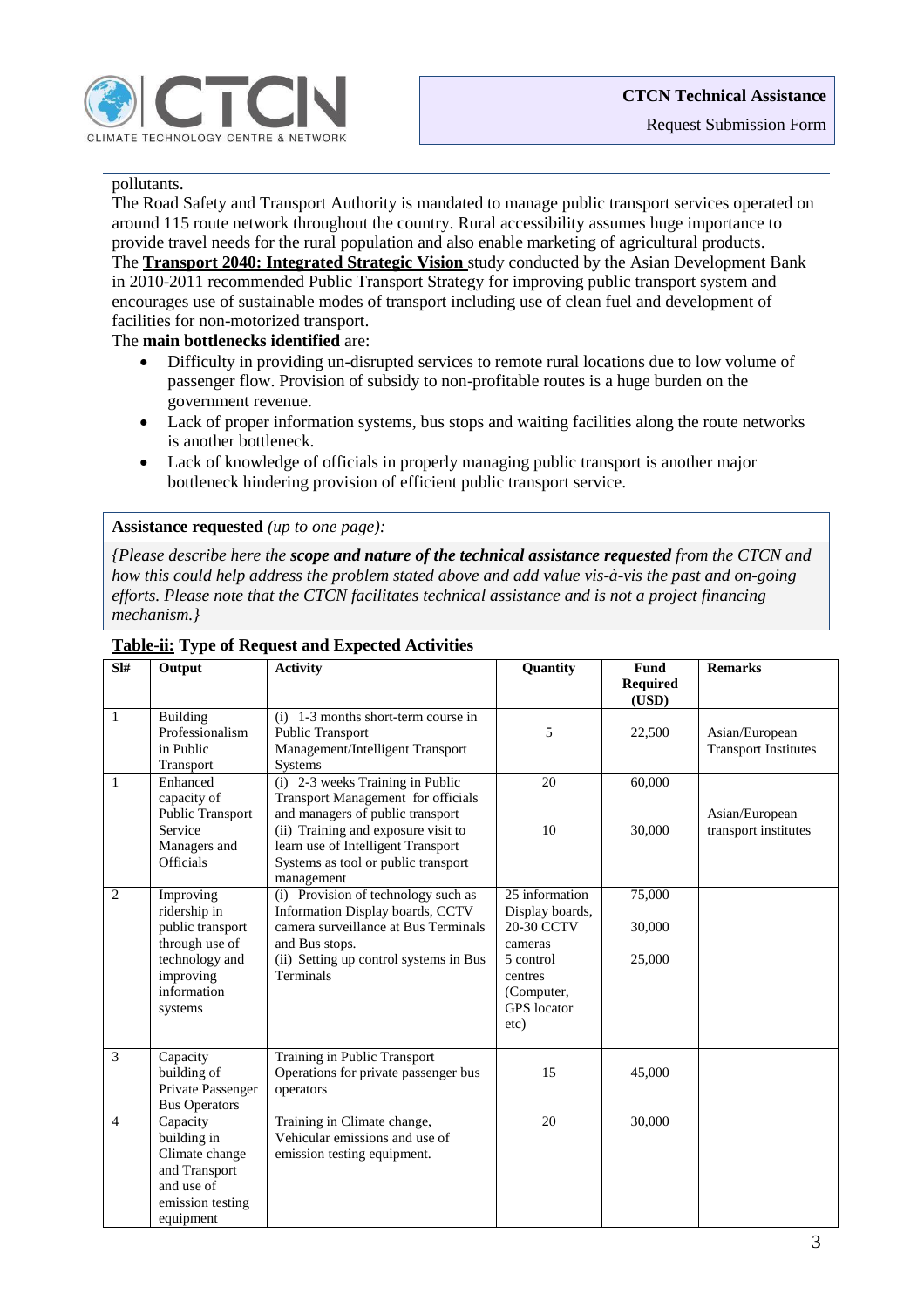

# pollutants.

The Road Safety and Transport Authority is mandated to manage public transport services operated on around 115 route network throughout the country. Rural accessibility assumes huge importance to provide travel needs for the rural population and also enable marketing of agricultural products. The **Transport 2040: Integrated Strategic Vision** study conducted by the Asian Development Bank in 2010-2011 recommended Public Transport Strategy for improving public transport system and encourages use of sustainable modes of transport including use of clean fuel and development of facilities for non-motorized transport.

### The **main bottlenecks identified** are:

- Difficulty in providing un-disrupted services to remote rural locations due to low volume of passenger flow. Provision of subsidy to non-profitable routes is a huge burden on the government revenue.
- Lack of proper information systems, bus stops and waiting facilities along the route networks is another bottleneck.
- Lack of knowledge of officials in properly managing public transport is another major bottleneck hindering provision of efficient public transport service.

#### **Assistance requested** *(up to one page):*

*{Please describe here the scope and nature of the technical assistance requested from the CTCN and how this could help address the problem stated above and add value vis-à-vis the past and on-going efforts. Please note that the CTCN facilitates technical assistance and is not a project financing mechanism.}*

| SI#            | Output                                                                                                    | <b>Activity</b>                                                                                                                                                    | Quantity                                                             | Fund                     | <b>Remarks</b>                                |
|----------------|-----------------------------------------------------------------------------------------------------------|--------------------------------------------------------------------------------------------------------------------------------------------------------------------|----------------------------------------------------------------------|--------------------------|-----------------------------------------------|
|                |                                                                                                           |                                                                                                                                                                    |                                                                      | <b>Required</b><br>(USD) |                                               |
| $\mathbf{1}$   | <b>Building</b><br>Professionalism<br>in Public<br>Transport                                              | $(i)$ 1-3 months short-term course in<br>Public Transport<br>Management/Intelligent Transport<br>Systems                                                           | 5                                                                    | 22,500                   | Asian/European<br><b>Transport Institutes</b> |
| $\mathbf{1}$   | Enhanced<br>capacity of                                                                                   | (i) 2-3 weeks Training in Public<br>Transport Management for officials                                                                                             | 20                                                                   | 60,000                   |                                               |
|                | Public Transport<br>Service<br>Managers and<br><b>Officials</b>                                           | and managers of public transport<br>(ii) Training and exposure visit to<br>learn use of Intelligent Transport<br>Systems as tool or public transport<br>management | 10                                                                   | 30,000                   | Asian/European<br>transport institutes        |
| 2              | Improving<br>ridership in                                                                                 | (i) Provision of technology such as<br>Information Display boards, CCTV                                                                                            | 25 information<br>Display boards,                                    | 75,000                   |                                               |
|                | public transport                                                                                          | camera surveillance at Bus Terminals                                                                                                                               | 20-30 CCTV                                                           | 30,000                   |                                               |
|                | through use of<br>technology and<br>improving<br>information<br>systems                                   | and Bus stops.<br>(ii) Setting up control systems in Bus<br>Terminals                                                                                              | cameras<br>5 control<br>centres<br>(Computer,<br>GPS locator<br>etc) | 25,000                   |                                               |
| 3              | Capacity<br>building of<br>Private Passenger<br><b>Bus Operators</b>                                      | Training in Public Transport<br>Operations for private passenger bus<br>operators                                                                                  | 15                                                                   | 45,000                   |                                               |
| $\overline{4}$ | Capacity<br>building in<br>Climate change<br>and Transport<br>and use of<br>emission testing<br>equipment | Training in Climate change,<br>Vehicular emissions and use of<br>emission testing equipment.                                                                       | 20                                                                   | 30,000                   |                                               |

### **Table-ii: Type of Request and Expected Activities**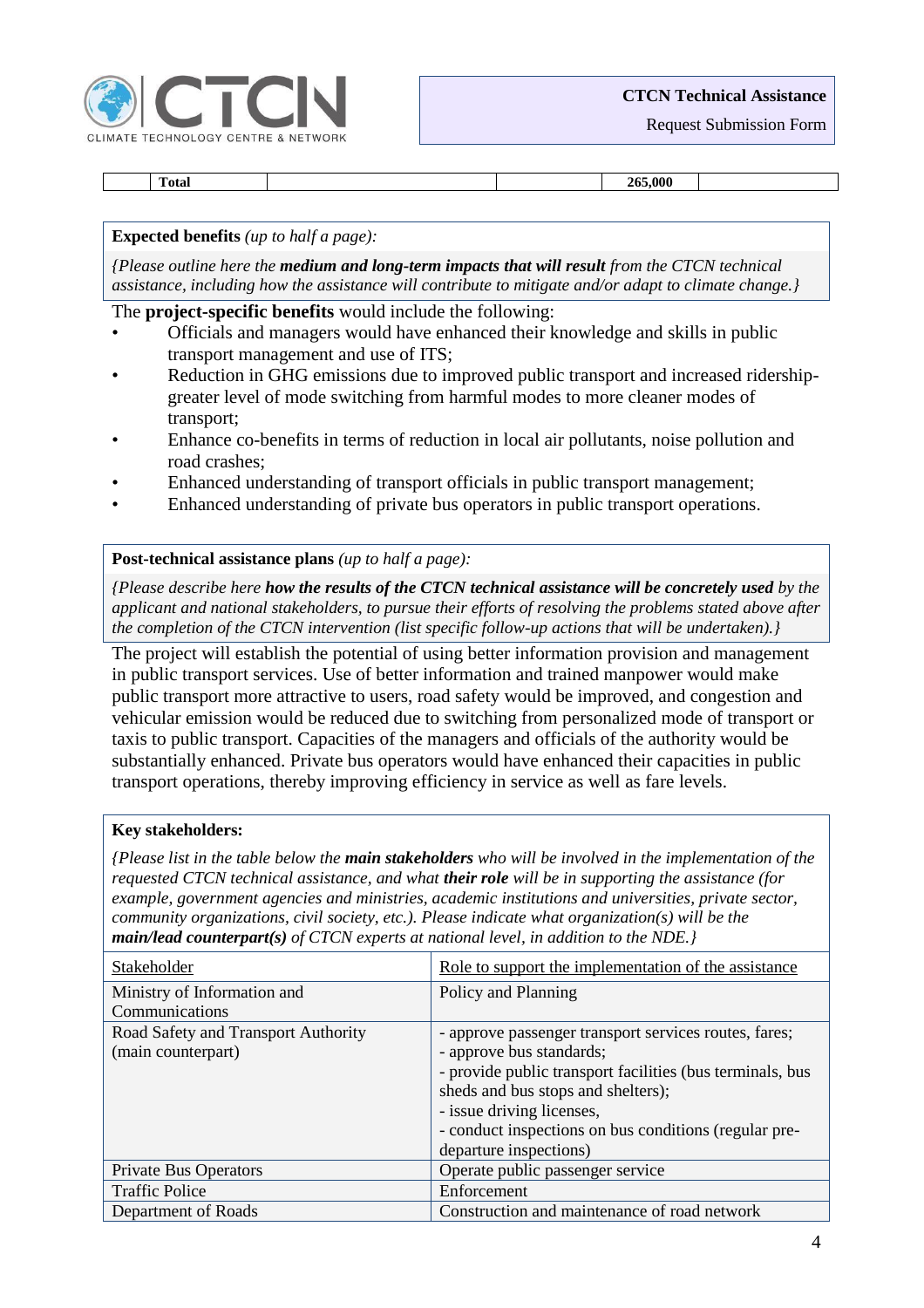

# **CTCN Technical Assistance**

Request Submission Form

**Total 265,000**

## **Expected benefits** *(up to half a page):*

*{Please outline here the medium and long-term impacts that will result from the CTCN technical assistance, including how the assistance will contribute to mitigate and/or adapt to climate change.}*

## The **project-specific benefits** would include the following:

- Officials and managers would have enhanced their knowledge and skills in public transport management and use of ITS;
- Reduction in GHG emissions due to improved public transport and increased ridershipgreater level of mode switching from harmful modes to more cleaner modes of transport;
- Enhance co-benefits in terms of reduction in local air pollutants, noise pollution and road crashes;
- Enhanced understanding of transport officials in public transport management;
- Enhanced understanding of private bus operators in public transport operations.

# **Post-technical assistance plans** *(up to half a page):*

*{Please describe here how the results of the CTCN technical assistance will be concretely used by the applicant and national stakeholders, to pursue their efforts of resolving the problems stated above after the completion of the CTCN intervention (list specific follow-up actions that will be undertaken).}*

The project will establish the potential of using better information provision and management in public transport services. Use of better information and trained manpower would make public transport more attractive to users, road safety would be improved, and congestion and vehicular emission would be reduced due to switching from personalized mode of transport or taxis to public transport. Capacities of the managers and officials of the authority would be substantially enhanced. Private bus operators would have enhanced their capacities in public transport operations, thereby improving efficiency in service as well as fare levels.

### **Key stakeholders:**

*{Please list in the table below the main stakeholders who will be involved in the implementation of the requested CTCN technical assistance, and what their role will be in supporting the assistance (for example, government agencies and ministries, academic institutions and universities, private sector, community organizations, civil society, etc.). Please indicate what organization(s) will be the main/lead counterpart(s) of CTCN experts at national level, in addition to the NDE.}*

| Stakeholder                                               | Role to support the implementation of the assistance                                                                                                                                                                                                                                                 |
|-----------------------------------------------------------|------------------------------------------------------------------------------------------------------------------------------------------------------------------------------------------------------------------------------------------------------------------------------------------------------|
| Ministry of Information and                               | Policy and Planning                                                                                                                                                                                                                                                                                  |
| Communications                                            |                                                                                                                                                                                                                                                                                                      |
| Road Safety and Transport Authority<br>(main counterpart) | - approve passenger transport services routes, fares;<br>- approve bus standards;<br>- provide public transport facilities (bus terminals, bus<br>sheds and bus stops and shelters);<br>- issue driving licenses,<br>- conduct inspections on bus conditions (regular pre-<br>departure inspections) |
| Private Bus Operators                                     | Operate public passenger service                                                                                                                                                                                                                                                                     |
| <b>Traffic Police</b>                                     | Enforcement                                                                                                                                                                                                                                                                                          |
| Department of Roads                                       | Construction and maintenance of road network                                                                                                                                                                                                                                                         |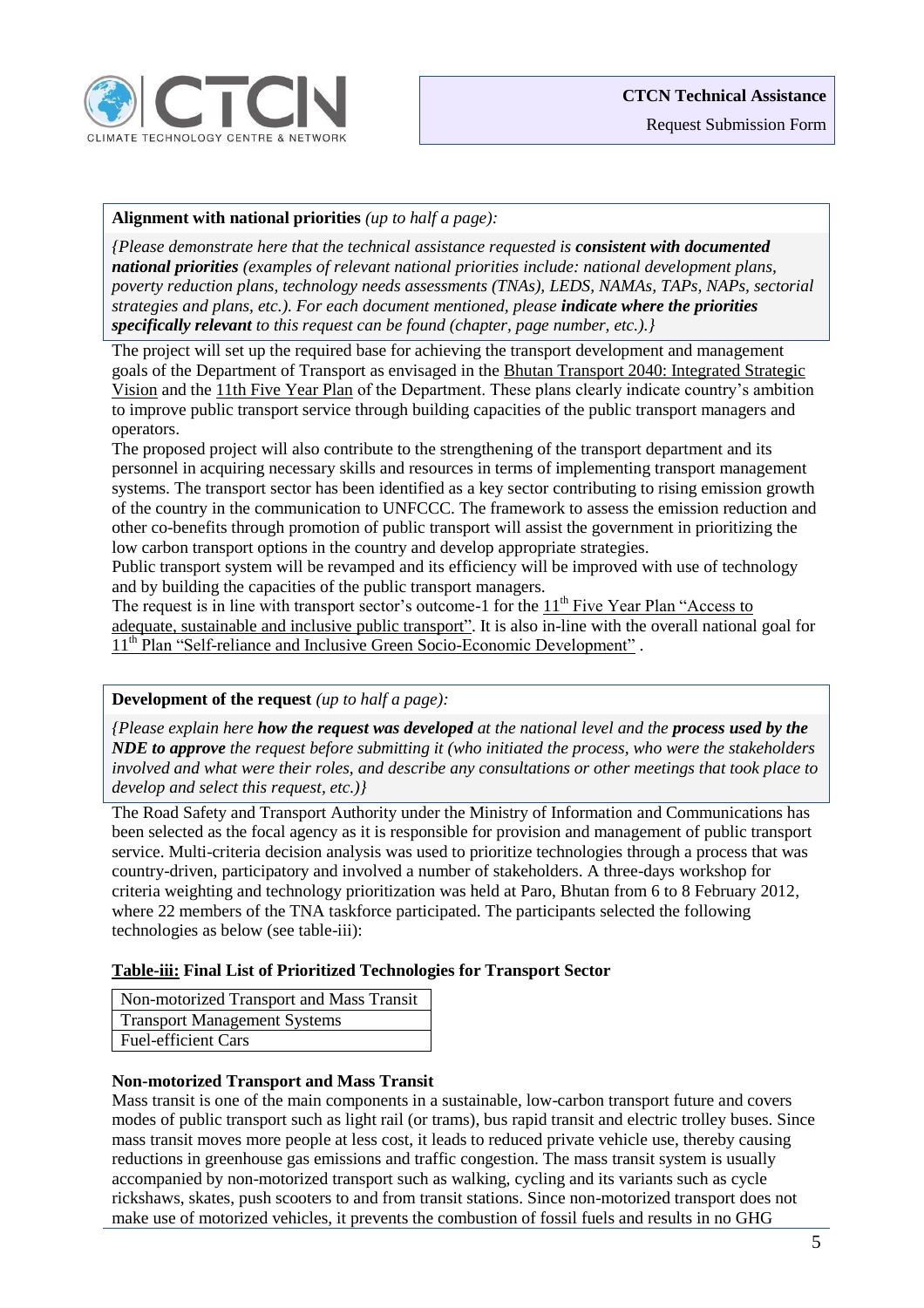

# **Alignment with national priorities** *(up to half a page):*

*{Please demonstrate here that the technical assistance requested is consistent with documented national priorities (examples of relevant national priorities include: national development plans, poverty reduction plans, technology needs assessments (TNAs), LEDS, NAMAs, TAPs, NAPs, sectorial strategies and plans, etc.). For each document mentioned, please indicate where the priorities specifically relevant to this request can be found (chapter, page number, etc.).}*

The project will set up the required base for achieving the transport development and management goals of the Department of Transport as envisaged in the Bhutan Transport 2040: Integrated Strategic Vision and the 11th Five Year Plan of the Department. These plans clearly indicate country's ambition to improve public transport service through building capacities of the public transport managers and operators.

The proposed project will also contribute to the strengthening of the transport department and its personnel in acquiring necessary skills and resources in terms of implementing transport management systems. The transport sector has been identified as a key sector contributing to rising emission growth of the country in the communication to UNFCCC. The framework to assess the emission reduction and other co-benefits through promotion of public transport will assist the government in prioritizing the low carbon transport options in the country and develop appropriate strategies.

Public transport system will be revamped and its efficiency will be improved with use of technology and by building the capacities of the public transport managers.

The request is in line with transport sector's outcome-1 for the 11<sup>th</sup> Five Year Plan "Access to adequate, sustainable and inclusive public transport". It is also in-line with the overall national goal for 11<sup>th</sup> Plan "Self-reliance and Inclusive Green Socio-Economic Development".

# **Development of the request** *(up to half a page):*

*{Please explain here how the request was developed at the national level and the process used by the NDE to approve the request before submitting it (who initiated the process, who were the stakeholders involved and what were their roles, and describe any consultations or other meetings that took place to develop and select this request, etc.)}*

The Road Safety and Transport Authority under the Ministry of Information and Communications has been selected as the focal agency as it is responsible for provision and management of public transport service. Multi-criteria decision analysis was used to prioritize technologies through a process that was country-driven, participatory and involved a number of stakeholders. A three-days workshop for criteria weighting and technology prioritization was held at Paro, Bhutan from 6 to 8 February 2012, where 22 members of the TNA taskforce participated. The participants selected the following technologies as below (see table-iii):

# **Table-iii: Final List of Prioritized Technologies for Transport Sector**

Non-motorized Transport and Mass Transit Transport Management Systems Fuel-efficient Cars

# **Non-motorized Transport and Mass Transit**

Mass transit is one of the main components in a sustainable, low-carbon transport future and covers modes of public transport such as light rail (or trams), bus rapid transit and electric trolley buses. Since mass transit moves more people at less cost, it leads to reduced private vehicle use, thereby causing reductions in greenhouse gas emissions and traffic congestion. The mass transit system is usually accompanied by non-motorized transport such as walking, cycling and its variants such as cycle rickshaws, skates, push scooters to and from transit stations. Since non-motorized transport does not make use of motorized vehicles, it prevents the combustion of fossil fuels and results in no GHG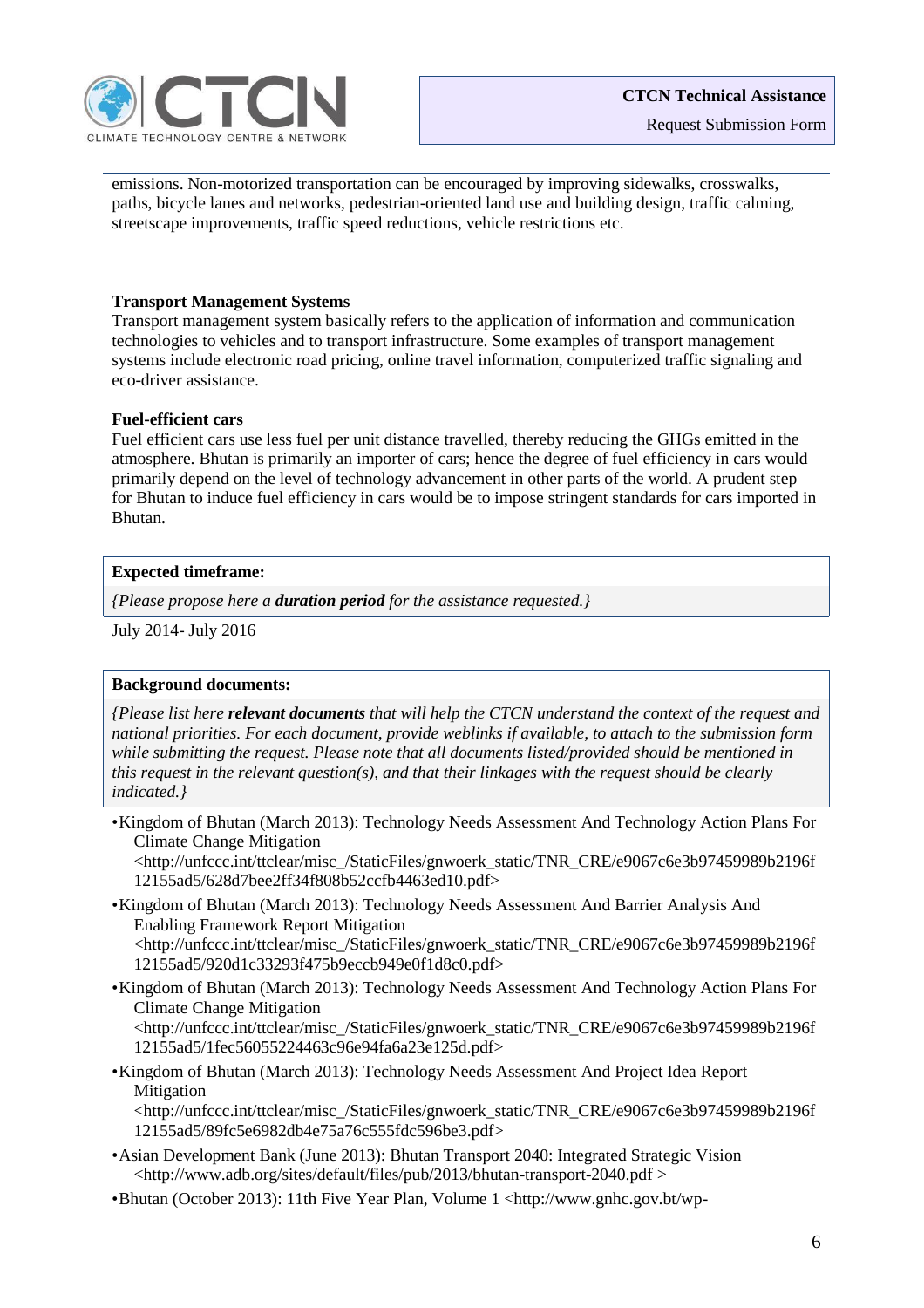

emissions. Non-motorized transportation can be encouraged by improving sidewalks, crosswalks, paths, bicycle lanes and networks, pedestrian-oriented land use and building design, traffic calming, streetscape improvements, traffic speed reductions, vehicle restrictions etc.

## **Transport Management Systems**

Transport management system basically refers to the application of information and communication technologies to vehicles and to transport infrastructure. Some examples of transport management systems include electronic road pricing, online travel information, computerized traffic signaling and eco-driver assistance.

## **Fuel-efficient cars**

Fuel efficient cars use less fuel per unit distance travelled, thereby reducing the GHGs emitted in the atmosphere. Bhutan is primarily an importer of cars; hence the degree of fuel efficiency in cars would primarily depend on the level of technology advancement in other parts of the world. A prudent step for Bhutan to induce fuel efficiency in cars would be to impose stringent standards for cars imported in Bhutan.

## **Expected timeframe:**

*{Please propose here a duration period for the assistance requested.}*

July 2014- July 2016

# **Background documents:**

*{Please list here relevant documents that will help the CTCN understand the context of the request and national priorities. For each document, provide weblinks if available, to attach to the submission form while submitting the request. Please note that all documents listed/provided should be mentioned in this request in the relevant question(s), and that their linkages with the request should be clearly indicated.}*

•Kingdom of Bhutan (March 2013): Technology Needs Assessment And Technology Action Plans For Climate Change Mitigation

<http://unfccc.int/ttclear/misc\_/StaticFiles/gnwoerk\_static/TNR\_CRE/e9067c6e3b97459989b2196f 12155ad5/628d7bee2ff34f808b52ccfb4463ed10.pdf>

- •Kingdom of Bhutan (March 2013): Technology Needs Assessment And Barrier Analysis And Enabling Framework Report Mitigation <http://unfccc.int/ttclear/misc\_/StaticFiles/gnwoerk\_static/TNR\_CRE/e9067c6e3b97459989b2196f 12155ad5/920d1c33293f475b9eccb949e0f1d8c0.pdf>
- •Kingdom of Bhutan (March 2013): Technology Needs Assessment And Technology Action Plans For Climate Change Mitigation

<http://unfccc.int/ttclear/misc\_/StaticFiles/gnwoerk\_static/TNR\_CRE/e9067c6e3b97459989b2196f 12155ad5/1fec56055224463c96e94fa6a23e125d.pdf>

•Kingdom of Bhutan (March 2013): Technology Needs Assessment And Project Idea Report Mitigation

<http://unfccc.int/ttclear/misc\_/StaticFiles/gnwoerk\_static/TNR\_CRE/e9067c6e3b97459989b2196f 12155ad5/89fc5e6982db4e75a76c555fdc596be3.pdf>

- •Asian Development Bank (June 2013): Bhutan Transport 2040: Integrated Strategic Vision <http://www.adb.org/sites/default/files/pub/2013/bhutan-transport-2040.pdf >
- •Bhutan (October 2013): 11th Five Year Plan, Volume 1 <http://www.gnhc.gov.bt/wp-